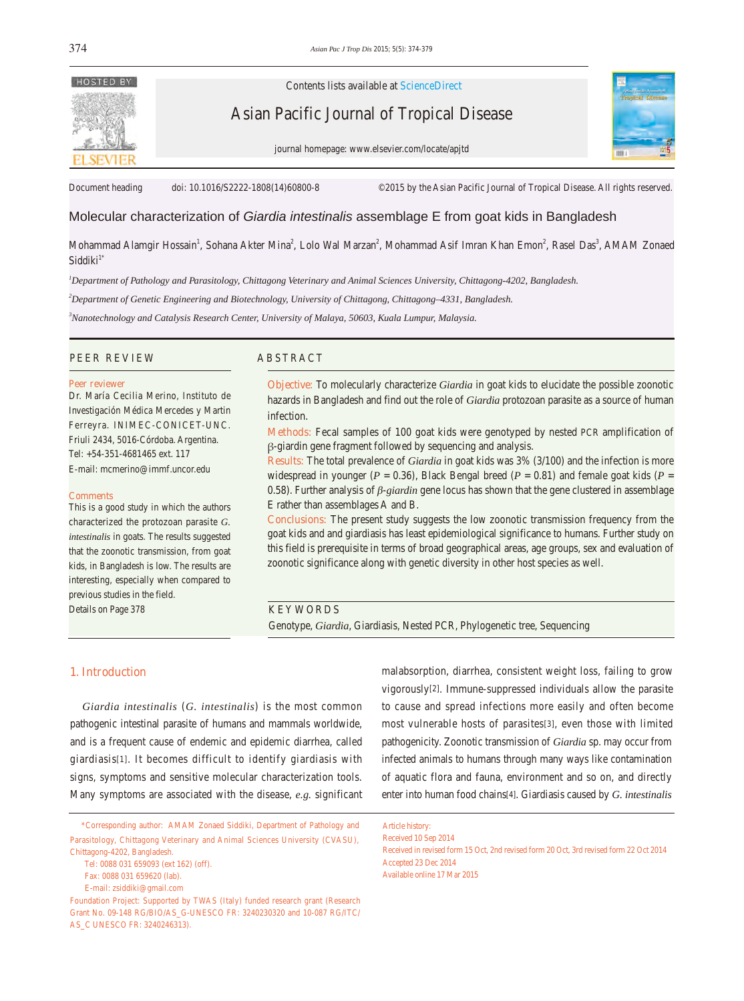

Contents lists available at ScienceDirect

Asian Pacific Journal of Tropical Disease

journal homepage: www.elsevier.com/locate/apjtd



Document heading doi: 10.1016/S2222-1808(14)60800-8 ©2015 by the Asian Pacific Journal of Tropical Disease. All rights reserved.

# Molecular characterization of *Giardia intestinalis* assemblage E from goat kids in Bangladesh

Mohammad Alamgir Hossain<sup>1</sup>, Sohana Akter Mina<sup>2</sup>, Lolo Wal Marzan<sup>2</sup>, Mohammad Asif Imran Khan Emon<sup>2</sup>, Rasel Das<sup>3</sup>, AMAM Zonaed  $Siddiki<sup>1*</sup>$ </sup>

*1 Department of Pathology and Parasitology, Chittagong Veterinary and Animal Sciences University, Chittagong-4202, Bangladesh.*

*2 Department of Genetic Engineering and Biotechnology, University of Chittagong, Chittagong–4331, Bangladesh.*

*3 Nanotechnology and Catalysis Research Center, University of Malaya, 50603, Kuala Lumpur, Malaysia.*

# PEER REVIEW ABSTRACT

#### **Peer reviewer**

Dr. María Cecilia Merino, Instituto de Investigación Médica Mercedes y Martin Ferreyra. INIMEC-CONICET-UNC. Friuli 2434, 5016-Córdoba. Argentina. Tel: +54-351-4681465 ext. 117 E-mail: mcmerino@immf.uncor.edu

#### **Comments**

This is a good study in which the authors characterized the protozoan parasite *G. intestinalis* in goats. The results suggested that the zoonotic transmission, from goat kids, in Bangladesh is low. The results are interesting, especially when compared to previous studies in the field. Details on Page 378

**Objective:** To molecularly characterize *Giardia* in goat kids to elucidate the possible zoonotic hazards in Bangladesh and find out the role of *Giardia* protozoan parasite as a source of human infection.

**Methods:** Fecal samples of 100 goat kids were genotyped by nested PCR amplification of β-giardin gene fragment followed by sequencing and analysis.

**Results:** The total prevalence of *Giardia* in goat kids was 3% (3/100) and the infection is more widespread in younger ( $P = 0.36$ ), Black Bengal breed ( $P = 0.81$ ) and female goat kids ( $P =$ 0.58). Further analysis of β-*giardin* gene locus has shown that the gene clustered in assemblage E rather than assemblages A and B.

**Conclusions:** The present study suggests the low zoonotic transmission frequency from the goat kids and and giardiasis has least epidemiological significance to humans. Further study on this field is prerequisite in terms of broad geographical areas, age groups, sex and evaluation of zoonotic significance along with genetic diversity in other host species as well.

# KEYWORDS

Genotype, *Giardia*, Giardiasis, Nested PCR, Phylogenetic tree, Sequencing

# **1. Introduction**

 *Giardia intestinalis* (*G. intestinalis*) is the most common pathogenic intestinal parasite of humans and mammals worldwide, and is a frequent cause of endemic and epidemic diarrhea, called giardiasis[1]. It becomes difficult to identify giardiasis with signs, symptoms and sensitive molecular characterization tools. Many symptoms are associated with the disease, *e.g.* significant

Tel: 0088 031 659093 (ext 162) (off).

Fax: 0088 031 659620 (lab).

malabsorption, diarrhea, consistent weight loss, failing to grow vigorously[2]. Immune-suppressed individuals allow the parasite to cause and spread infections more easily and often become most vulnerable hosts of parasites[3], even those with limited pathogenicity. Zoonotic transmission of *Giardia* sp. may occur from infected animals to humans through many ways like contamination of aquatic flora and fauna, environment and so on, and directly enter into human food chains[4]. Giardiasis caused by *G. intestinalis*

 <sup>\*</sup>Corresponding author: AMAM Zonaed Siddiki, Department of Pathology and Parasitology, Chittagong Veterinary and Animal Sciences University (CVASU), Chittagong-4202, Bangladesh.

E-mail: zsiddiki@gmail.com

Foundation Project: Supported by TWAS (Italy) funded research grant (Research Grant No. 09-148 RG/BIO/AS\_G-UNESCO FR: 3240230320 and 10-087 RG/ITC/ AS\_C UNESCO FR: 3240246313).

Article history:

Received 10 Sep 2014

Received in revised form 15 Oct, 2nd revised form 20 Oct, 3rd revised form 22 Oct 2014 Accepted 23 Dec 2014 Available online 17 Mar 2015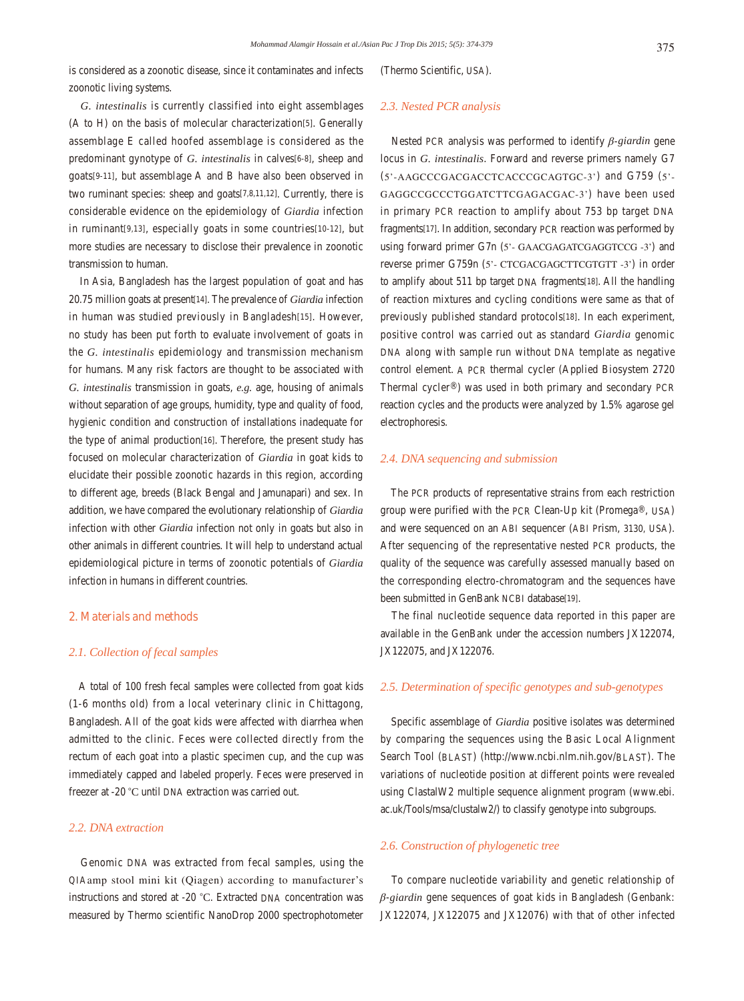is considered as a zoonotic disease, since it contaminates and infects zoonotic living systems.

(Thermo Scientific, USA).

# *2.3. Nested PCR analysis*

 *G. intestinalis* is currently classified into eight assemblages (A to H) on the basis of molecular characterization[5]. Generally assemblage E called hoofed assemblage is considered as the predominant gynotype of *G. intestinalis* in calves[6-8], sheep and goats[9-11], but assemblage A and B have also been observed in two ruminant species: sheep and goats[7,8,11,12]. Currently, there is considerable evidence on the epidemiology of *Giardia* infection in ruminant[9,13], especially goats in some countries[10-12], but more studies are necessary to disclose their prevalence in zoonotic transmission to human.

 In Asia, Bangladesh has the largest population of goat and has 20.75 million goats at present[14]. The prevalence of *Giardia* infection in human was studied previously in Bangladesh[15]. However, no study has been put forth to evaluate involvement of goats in the *G. intestinalis* epidemiology and transmission mechanism for humans. Many risk factors are thought to be associated with *G. intestinalis* transmission in goats, *e.g.* age, housing of animals without separation of age groups, humidity, type and quality of food, hygienic condition and construction of installations inadequate for the type of animal production[16]. Therefore, the present study has focused on molecular characterization of *Giardia* in goat kids to elucidate their possible zoonotic hazards in this region, according to different age, breeds (Black Bengal and Jamunapari) and sex. In addition, we have compared the evolutionary relationship of *Giardia* infection with other *Giardia* infection not only in goats but also in other animals in different countries. It will help to understand actual epidemiological picture in terms of zoonotic potentials of *Giardia* infection in humans in different countries.

#### **2. Materials and methods**

## *2.1. Collection of fecal samples*

 A total of 100 fresh fecal samples were collected from goat kids (1-6 months old) from a local veterinary clinic in Chittagong, Bangladesh. All of the goat kids were affected with diarrhea when admitted to the clinic. Feces were collected directly from the rectum of each goat into a plastic specimen cup, and the cup was immediately capped and labeled properly. Feces were preserved in freezer at -20 °C until DNA extraction was carried out.

# *2.2. DNA extraction*

 Genomic DNA was extracted from fecal samples, using the QIAamp stool mini kit (Qiagen) according to manufacturer's instructions and stored at -20 °C. Extracted DNA concentration was measured by Thermo scientific NanoDrop 2000 spectrophotometer

 Nested PCR analysis was performed to identify β-*giardin* gene locus in *G. intestinalis*. Forward and reverse primers namely G7 (5'-AAGCCCGACGACCTCACCCGCAGTGC-3') and G759 (5'- GAGGCCGCCCTGGATCTTCGAGACGAC-3') have been used in primary PCR reaction to amplify about 753 bp target DNA fragments[17]. In addition, secondary PCR reaction was performed by using forward primer G7n (5'- GAACGAGATCGAGGTCCG -3') and reverse primer G759n (5'- CTCGACGAGCTTCGTGTT -3') in order to amplify about 511 bp target DNA fragments[18]. All the handling of reaction mixtures and cycling conditions were same as that of previously published standard protocols[18]. In each experiment, positive control was carried out as standard *Giardia* genomic DNA along with sample run without DNA template as negative control element. A PCR thermal cycler (Applied Biosystem 2720 Thermal cycler®) was used in both primary and secondary PCR reaction cycles and the products were analyzed by 1.5% agarose gel electrophoresis.

# *2.4. DNA sequencing and submission*

 The PCR products of representative strains from each restriction group were purified with the PCR Clean-Up kit (Promega®, USA) and were sequenced on an ABI sequencer (ABI Prism, 3130, USA). After sequencing of the representative nested PCR products, the quality of the sequence was carefully assessed manually based on the corresponding electro-chromatogram and the sequences have been submitted in GenBank NCBI database[19].

 The final nucleotide sequence data reported in this paper are available in the GenBank under the accession numbers JX122074, JX122075, and JX122076.

# *2.5. Determination of specific genotypes and sub-genotypes*

 Specific assemblage of *Giardia* positive isolates was determined by comparing the sequences using the Basic Local Alignment Search Tool (BLAST) (http://www.ncbi.nlm.nih.gov/BLAST). The variations of nucleotide position at different points were revealed using ClastalW2 multiple sequence alignment program (www.ebi. ac.uk/Tools/msa/clustalw2/) to classify genotype into subgroups.

# *2.6. Construction of phylogenetic tree*

 To compare nucleotide variability and genetic relationship of β-*giardin* gene sequences of goat kids in Bangladesh (Genbank: JX122074, JX122075 and JX12076) with that of other infected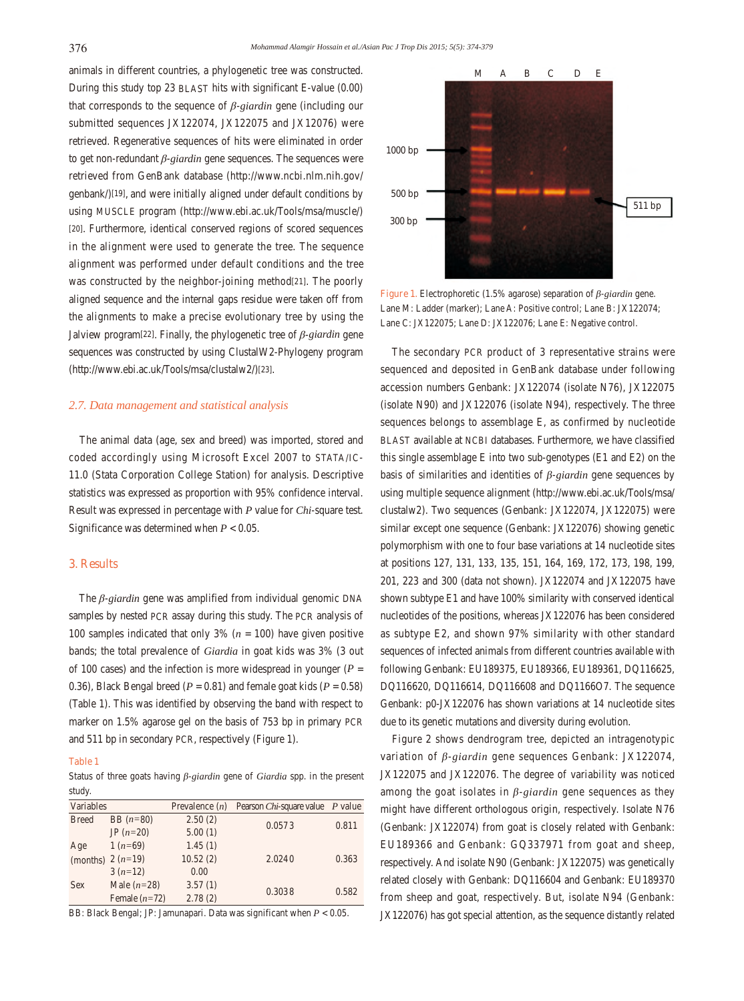animals in different countries, a phylogenetic tree was constructed. During this study top 23 BLAST hits with significant E-value (0.00) that corresponds to the sequence of β-*giardin* gene (including our submitted sequences JX122074, JX122075 and JX12076) were retrieved. Regenerative sequences of hits were eliminated in order to get non-redundant β-*giardin* gene sequences. The sequences were retrieved from GenBank database (http://www.ncbi.nlm.nih.gov/ genbank/)[19], and were initially aligned under default conditions by using MUSCLE program (http://www.ebi.ac.uk/Tools/msa/muscle/) [20]. Furthermore, identical conserved regions of scored sequences in the alignment were used to generate the tree. The sequence alignment was performed under default conditions and the tree was constructed by the neighbor-joining method<sup>[21]</sup>. The poorly aligned sequence and the internal gaps residue were taken off from the alignments to make a precise evolutionary tree by using the Jalview program[22]. Finally, the phylogenetic tree of β-*giardin* gene sequences was constructed by using ClustalW2-Phylogeny program (http://www.ebi.ac.uk/Tools/msa/clustalw2/)[23].

#### *2.7. Data management and statistical analysis*

 The animal data (age, sex and breed) was imported, stored and coded accordingly using Microsoft Excel 2007 to STATA/IC-11.0 (Stata Corporation College Station) for analysis. Descriptive statistics was expressed as proportion with 95% confidence interval. Result was expressed in percentage with *P* value for *Chi*-square test. Significance was determined when *P* < 0.05.

#### **3. Results**

 The β-*giardin* gene was amplified from individual genomic DNA samples by nested PCR assay during this study. The PCR analysis of 100 samples indicated that only 3% (*n* = 100) have given positive bands; the total prevalence of *Giardia* in goat kids was 3% (3 out of 100 cases) and the infection is more widespread in younger ( $P =$ 0.36), Black Bengal breed ( $P = 0.81$ ) and female goat kids ( $P = 0.58$ ) (Table 1). This was identified by observing the band with respect to marker on 1.5% agarose gel on the basis of 753 bp in primary PCR and 511 bp in secondary PCR, respectively (Figure 1).

#### **Table 1**

Status of three goats having β-*giardin* gene of *Giardia* spp. in the present study.

| Variables    |                    | Prevalence $(n)$ | Pearson Chi-square value P value |       |
|--------------|--------------------|------------------|----------------------------------|-------|
| <b>Breed</b> | $BB (n=80)$        | 2.50(2)          | 0.0573                           | 0.811 |
|              | $JP(n=20)$         | 5.00(1)          |                                  |       |
| Age          | $1(n=69)$          | 1.45(1)          |                                  |       |
|              | (months) $2(n=19)$ | 10.52(2)         | 2.0240                           | 0.363 |
|              | $3(n=12)$          | 0.00             |                                  |       |
| <b>Sex</b>   | Male $(n=28)$      | 3.57(1)          | 0.3038                           | 0.582 |
|              | Female $(n=72)$    | 2.78(2)          |                                  |       |

BB: Black Bengal; JP: Jamunapari. Data was significant when *P* < 0.05.



**Figure 1.** Electrophoretic (1.5% agarose) separation of β-*giardin* gene. Lane M: Ladder (marker); Lane A: Positive control; Lane B: JX122074; Lane C: JX122075; Lane D: JX122076; Lane E: Negative control.

 The secondary PCR product of 3 representative strains were sequenced and deposited in GenBank database under following accession numbers Genbank: JX122074 (isolate N76), JX122075 (isolate N90) and JX122076 (isolate N94), respectively. The three sequences belongs to assemblage E, as confirmed by nucleotide BLAST available at NCBI databases. Furthermore, we have classified this single assemblage E into two sub-genotypes (E1 and E2) on the basis of similarities and identities of β-*giardin* gene sequences by using multiple sequence alignment (http://www.ebi.ac.uk/Tools/msa/ clustalw2). Two sequences (Genbank: JX122074, JX122075) were similar except one sequence (Genbank: JX122076) showing genetic polymorphism with one to four base variations at 14 nucleotide sites at positions 127, 131, 133, 135, 151, 164, 169, 172, 173, 198, 199, 201, 223 and 300 (data not shown). JX122074 and JX122075 have shown subtype E1 and have 100% similarity with conserved identical nucleotides of the positions, whereas JX122076 has been considered as subtype E2, and shown 97% similarity with other standard sequences of infected animals from different countries available with following Genbank: EU189375, EU189366, EU189361, DQ116625, DQ116620, DQ116614, DQ116608 and DQ1166O7. The sequence Genbank: p0-JX122076 has shown variations at 14 nucleotide sites due to its genetic mutations and diversity during evolution.

 Figure 2 shows dendrogram tree, depicted an intragenotypic variation of β-*giardin* gene sequences Genbank: JX122074, JX122075 and JX122076. The degree of variability was noticed among the goat isolates in β-*giardin* gene sequences as they might have different orthologous origin, respectively. Isolate N76 (Genbank: JX122074) from goat is closely related with Genbank: EU189366 and Genbank: GQ337971 from goat and sheep, respectively. And isolate N90 (Genbank: JX122075) was genetically related closely with Genbank: DQ116604 and Genbank: EU189370 from sheep and goat, respectively. But, isolate N94 (Genbank: JX122076) has got special attention, as the sequence distantly related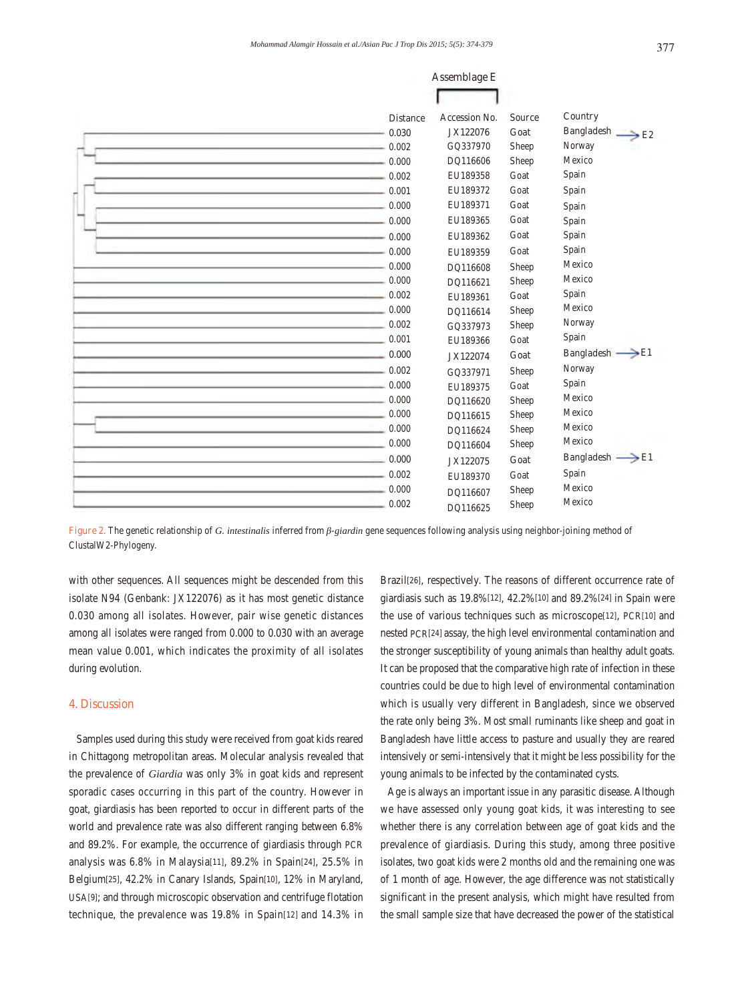| Country<br><b>Source</b><br><b>Accession No.</b><br><b>Distance</b><br>Bangladesh<br>JX122076<br>0.030<br>Goat<br>$\rightarrow$ E2<br>Norway<br>0.002<br>GQ337970<br>Sheep<br>Mexico<br>0.000<br>DQ116606<br>Sheep<br>Spain<br>EU189358<br>0.002<br>Goat<br>0.001<br>EU189372<br>Goat<br>Spain<br>0.000<br>EU189371<br>Goat<br>Spain<br>Goat<br>0.000<br>EU189365<br>Spain<br>Spain<br>Goat<br>EU189362<br>0.000<br>Spain<br>Goat<br>0.000<br>EU189359<br>Mexico<br>0.000<br>Sheep<br>DQ116608<br>Mexico<br>0.000<br>Sheep<br>DQ116621<br>Spain<br>0.002<br>Goat<br>EU189361<br>Mexico<br>0.000<br>Sheep<br>DO116614<br>Norway<br>0.002<br>Sheep<br>GQ337973<br>Spain<br>0.001<br>Goat<br>EU189366<br>Bangladesh - E1<br>0.000<br>Goat<br>JX122074<br>Norway<br>0.002<br>Sheep<br>GQ337971<br>Spain<br>0.000<br>Goat<br>EU189375<br>Mexico<br>0.000<br>Sheep<br>DQ116620<br>Mexico<br>0.000<br>Sheep<br>DQ116615<br>Mexico<br>0.000<br>Sheep<br>DO116624<br>Mexico<br>0.000<br>Sheep<br>DQ116604<br><b>Bangladesh</b> $\longrightarrow$ E1<br>0.000<br>Goat<br>JX122075<br>Spain<br>0.002<br>Goat<br>EU189370<br>Mexico<br>0.000<br>Sheep<br>DQ116607<br>Mexico<br>0.002<br>Sheep<br>DQ116625 | <b>Assemblage E</b> |  |
|-----------------------------------------------------------------------------------------------------------------------------------------------------------------------------------------------------------------------------------------------------------------------------------------------------------------------------------------------------------------------------------------------------------------------------------------------------------------------------------------------------------------------------------------------------------------------------------------------------------------------------------------------------------------------------------------------------------------------------------------------------------------------------------------------------------------------------------------------------------------------------------------------------------------------------------------------------------------------------------------------------------------------------------------------------------------------------------------------------------------------------------------------------------------------------------------------|---------------------|--|
|                                                                                                                                                                                                                                                                                                                                                                                                                                                                                                                                                                                                                                                                                                                                                                                                                                                                                                                                                                                                                                                                                                                                                                                               |                     |  |
|                                                                                                                                                                                                                                                                                                                                                                                                                                                                                                                                                                                                                                                                                                                                                                                                                                                                                                                                                                                                                                                                                                                                                                                               |                     |  |
|                                                                                                                                                                                                                                                                                                                                                                                                                                                                                                                                                                                                                                                                                                                                                                                                                                                                                                                                                                                                                                                                                                                                                                                               |                     |  |
|                                                                                                                                                                                                                                                                                                                                                                                                                                                                                                                                                                                                                                                                                                                                                                                                                                                                                                                                                                                                                                                                                                                                                                                               |                     |  |
|                                                                                                                                                                                                                                                                                                                                                                                                                                                                                                                                                                                                                                                                                                                                                                                                                                                                                                                                                                                                                                                                                                                                                                                               |                     |  |
|                                                                                                                                                                                                                                                                                                                                                                                                                                                                                                                                                                                                                                                                                                                                                                                                                                                                                                                                                                                                                                                                                                                                                                                               |                     |  |
|                                                                                                                                                                                                                                                                                                                                                                                                                                                                                                                                                                                                                                                                                                                                                                                                                                                                                                                                                                                                                                                                                                                                                                                               |                     |  |
|                                                                                                                                                                                                                                                                                                                                                                                                                                                                                                                                                                                                                                                                                                                                                                                                                                                                                                                                                                                                                                                                                                                                                                                               |                     |  |
|                                                                                                                                                                                                                                                                                                                                                                                                                                                                                                                                                                                                                                                                                                                                                                                                                                                                                                                                                                                                                                                                                                                                                                                               |                     |  |
|                                                                                                                                                                                                                                                                                                                                                                                                                                                                                                                                                                                                                                                                                                                                                                                                                                                                                                                                                                                                                                                                                                                                                                                               |                     |  |
|                                                                                                                                                                                                                                                                                                                                                                                                                                                                                                                                                                                                                                                                                                                                                                                                                                                                                                                                                                                                                                                                                                                                                                                               |                     |  |
|                                                                                                                                                                                                                                                                                                                                                                                                                                                                                                                                                                                                                                                                                                                                                                                                                                                                                                                                                                                                                                                                                                                                                                                               |                     |  |
|                                                                                                                                                                                                                                                                                                                                                                                                                                                                                                                                                                                                                                                                                                                                                                                                                                                                                                                                                                                                                                                                                                                                                                                               |                     |  |
|                                                                                                                                                                                                                                                                                                                                                                                                                                                                                                                                                                                                                                                                                                                                                                                                                                                                                                                                                                                                                                                                                                                                                                                               |                     |  |
|                                                                                                                                                                                                                                                                                                                                                                                                                                                                                                                                                                                                                                                                                                                                                                                                                                                                                                                                                                                                                                                                                                                                                                                               |                     |  |
|                                                                                                                                                                                                                                                                                                                                                                                                                                                                                                                                                                                                                                                                                                                                                                                                                                                                                                                                                                                                                                                                                                                                                                                               |                     |  |
|                                                                                                                                                                                                                                                                                                                                                                                                                                                                                                                                                                                                                                                                                                                                                                                                                                                                                                                                                                                                                                                                                                                                                                                               |                     |  |
|                                                                                                                                                                                                                                                                                                                                                                                                                                                                                                                                                                                                                                                                                                                                                                                                                                                                                                                                                                                                                                                                                                                                                                                               |                     |  |
|                                                                                                                                                                                                                                                                                                                                                                                                                                                                                                                                                                                                                                                                                                                                                                                                                                                                                                                                                                                                                                                                                                                                                                                               |                     |  |
|                                                                                                                                                                                                                                                                                                                                                                                                                                                                                                                                                                                                                                                                                                                                                                                                                                                                                                                                                                                                                                                                                                                                                                                               |                     |  |
|                                                                                                                                                                                                                                                                                                                                                                                                                                                                                                                                                                                                                                                                                                                                                                                                                                                                                                                                                                                                                                                                                                                                                                                               |                     |  |
|                                                                                                                                                                                                                                                                                                                                                                                                                                                                                                                                                                                                                                                                                                                                                                                                                                                                                                                                                                                                                                                                                                                                                                                               |                     |  |
|                                                                                                                                                                                                                                                                                                                                                                                                                                                                                                                                                                                                                                                                                                                                                                                                                                                                                                                                                                                                                                                                                                                                                                                               |                     |  |
|                                                                                                                                                                                                                                                                                                                                                                                                                                                                                                                                                                                                                                                                                                                                                                                                                                                                                                                                                                                                                                                                                                                                                                                               |                     |  |
|                                                                                                                                                                                                                                                                                                                                                                                                                                                                                                                                                                                                                                                                                                                                                                                                                                                                                                                                                                                                                                                                                                                                                                                               |                     |  |
|                                                                                                                                                                                                                                                                                                                                                                                                                                                                                                                                                                                                                                                                                                                                                                                                                                                                                                                                                                                                                                                                                                                                                                                               |                     |  |
|                                                                                                                                                                                                                                                                                                                                                                                                                                                                                                                                                                                                                                                                                                                                                                                                                                                                                                                                                                                                                                                                                                                                                                                               |                     |  |
|                                                                                                                                                                                                                                                                                                                                                                                                                                                                                                                                                                                                                                                                                                                                                                                                                                                                                                                                                                                                                                                                                                                                                                                               |                     |  |



with other sequences. All sequences might be descended from this isolate N94 (Genbank: JX122076) as it has most genetic distance 0.030 among all isolates. However, pair wise genetic distances among all isolates were ranged from 0.000 to 0.030 with an average mean value 0.001, which indicates the proximity of all isolates during evolution.

## **4. Discussion**

 Samples used during this study were received from goat kids reared in Chittagong metropolitan areas. Molecular analysis revealed that the prevalence of *Giardia* was only 3% in goat kids and represent sporadic cases occurring in this part of the country. However in goat, giardiasis has been reported to occur in different parts of the world and prevalence rate was also different ranging between 6.8% and 89.2%. For example, the occurrence of giardiasis through PCR analysis was 6.8% in Malaysia[11], 89.2% in Spain[24], 25.5% in Belgium[25], 42.2% in Canary Islands, Spain[10], 12% in Maryland, USA[9]; and through microscopic observation and centrifuge flotation technique, the prevalence was 19.8% in Spain[12] and 14.3% in

Brazil[26], respectively. The reasons of different occurrence rate of giardiasis such as 19.8%[12], 42.2%[10] and 89.2%[24] in Spain were the use of various techniques such as microscope[12], PCR[10] and nested PCR[24] assay, the high level environmental contamination and the stronger susceptibility of young animals than healthy adult goats. It can be proposed that the comparative high rate of infection in these countries could be due to high level of environmental contamination which is usually very different in Bangladesh, since we observed the rate only being 3%. Most small ruminants like sheep and goat in Bangladesh have little access to pasture and usually they are reared intensively or semi-intensively that it might be less possibility for the young animals to be infected by the contaminated cysts.

 Age is always an important issue in any parasitic disease. Although we have assessed only young goat kids, it was interesting to see whether there is any correlation between age of goat kids and the prevalence of giardiasis. During this study, among three positive isolates, two goat kids were 2 months old and the remaining one was of 1 month of age. However, the age difference was not statistically significant in the present analysis, which might have resulted from the small sample size that have decreased the power of the statistical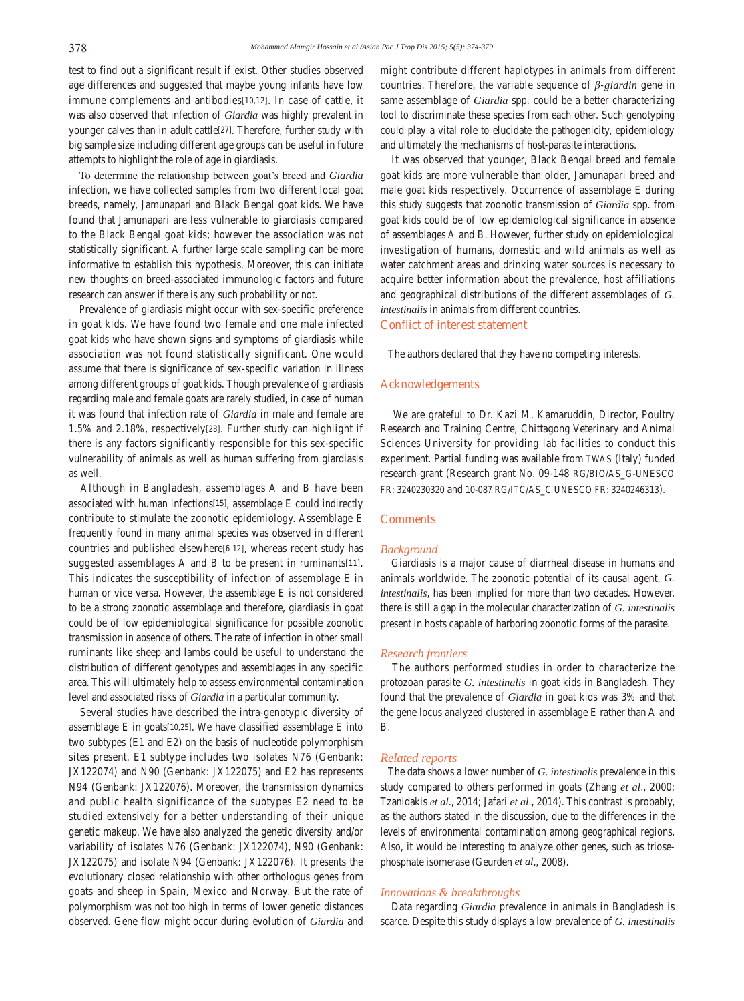test to find out a significant result if exist. Other studies observed age differences and suggested that maybe young infants have low immune complements and antibodies[10,12]. In case of cattle, it was also observed that infection of *Giardia* was highly prevalent in younger calves than in adult cattle[27]. Therefore, further study with big sample size including different age groups can be useful in future attempts to highlight the role of age in giardiasis.

 To determine the relationship between goat's breed and *Giardia* infection, we have collected samples from two different local goat breeds, namely, Jamunapari and Black Bengal goat kids. We have found that Jamunapari are less vulnerable to giardiasis compared to the Black Bengal goat kids; however the association was not statistically significant. A further large scale sampling can be more informative to establish this hypothesis. Moreover, this can initiate new thoughts on breed-associated immunologic factors and future research can answer if there is any such probability or not.

 Prevalence of giardiasis might occur with sex-specific preference in goat kids. We have found two female and one male infected goat kids who have shown signs and symptoms of giardiasis while association was not found statistically significant. One would assume that there is significance of sex-specific variation in illness among different groups of goat kids. Though prevalence of giardiasis regarding male and female goats are rarely studied, in case of human it was found that infection rate of *Giardia* in male and female are 1.5% and 2.18%, respectively[28]. Further study can highlight if there is any factors significantly responsible for this sex-specific vulnerability of animals as well as human suffering from giardiasis as well.

 Although in Bangladesh, assemblages A and B have been associated with human infections[15], assemblage E could indirectly contribute to stimulate the zoonotic epidemiology. Assemblage E frequently found in many animal species was observed in different countries and published elsewhere[6-12], whereas recent study has suggested assemblages A and B to be present in ruminants[11]. This indicates the susceptibility of infection of assemblage E in human or vice versa. However, the assemblage E is not considered to be a strong zoonotic assemblage and therefore, giardiasis in goat could be of low epidemiological significance for possible zoonotic transmission in absence of others. The rate of infection in other small ruminants like sheep and lambs could be useful to understand the distribution of different genotypes and assemblages in any specific area. This will ultimately help to assess environmental contamination level and associated risks of *Giardia* in a particular community.

 Several studies have described the intra-genotypic diversity of assemblage E in goats[10,25]. We have classified assemblage E into two subtypes (E1 and E2) on the basis of nucleotide polymorphism sites present. E1 subtype includes two isolates N76 (Genbank: JX122074) and N90 (Genbank: JX122075) and E2 has represents N94 (Genbank: JX122076). Moreover, the transmission dynamics and public health significance of the subtypes E2 need to be studied extensively for a better understanding of their unique genetic makeup. We have also analyzed the genetic diversity and/or variability of isolates N76 (Genbank: JX122074), N90 (Genbank: JX122075) and isolate N94 (Genbank: JX122076). It presents the evolutionary closed relationship with other orthologus genes from goats and sheep in Spain, Mexico and Norway. But the rate of polymorphism was not too high in terms of lower genetic distances observed. Gene flow might occur during evolution of *Giardia* and might contribute different haplotypes in animals from different countries. Therefore, the variable sequence of β-*giardin* gene in same assemblage of *Giardia* spp. could be a better characterizing tool to discriminate these species from each other. Such genotyping could play a vital role to elucidate the pathogenicity, epidemiology and ultimately the mechanisms of host-parasite interactions.

 It was observed that younger, Black Bengal breed and female goat kids are more vulnerable than older, Jamunapari breed and male goat kids respectively. Occurrence of assemblage E during this study suggests that zoonotic transmission of *Giardia* spp. from goat kids could be of low epidemiological significance in absence of assemblages A and B. However, further study on epidemiological investigation of humans, domestic and wild animals as well as water catchment areas and drinking water sources is necessary to acquire better information about the prevalence, host affiliations and geographical distributions of the different assemblages of *G. intestinalis* in animals from different countries.

# **Conflict of interest statement**

The authors declared that they have no competing interests.

#### **Acknowledgements**

 We are grateful to Dr. Kazi M. Kamaruddin, Director, Poultry Research and Training Centre, Chittagong Veterinary and Animal Sciences University for providing lab facilities to conduct this experiment. Partial funding was available from TWAS (Italy) funded research grant (Research grant No. 09-148 RG/BIO/AS\_G-UNESCO FR: 3240230320 and 10-087 RG/ITC/AS\_C UNESCO FR: 3240246313).

## **Comments**

#### *Background*

 Giardiasis is a major cause of diarrheal disease in humans and animals worldwide. The zoonotic potential of its causal agent, *G. intestinalis*, has been implied for more than two decades. However, there is still a gap in the molecular characterization of *G. intestinalis* present in hosts capable of harboring zoonotic forms of the parasite.

#### *Research frontiers*

 The authors performed studies in order to characterize the protozoan parasite *G. intestinalis* in goat kids in Bangladesh. They found that the prevalence of *Giardia* in goat kids was 3% and that the gene locus analyzed clustered in assemblage E rather than A and B.

## *Related reports*

 The data shows a lower number of *G. intestinalis* prevalence in this study compared to others performed in goats (Zhang *et al*., 2000; Tzanidakis *et al*., 2014; Jafari *et al*., 2014). This contrast is probably, as the authors stated in the discussion, due to the differences in the levels of environmental contamination among geographical regions. Also, it would be interesting to analyze other genes, such as triosephosphate isomerase (Geurden *et al*., 2008).

#### *Innovations & breakthroughs*

 Data regarding *Giardia* prevalence in animals in Bangladesh is scarce. Despite this study displays a low prevalence of *G. intestinalis*